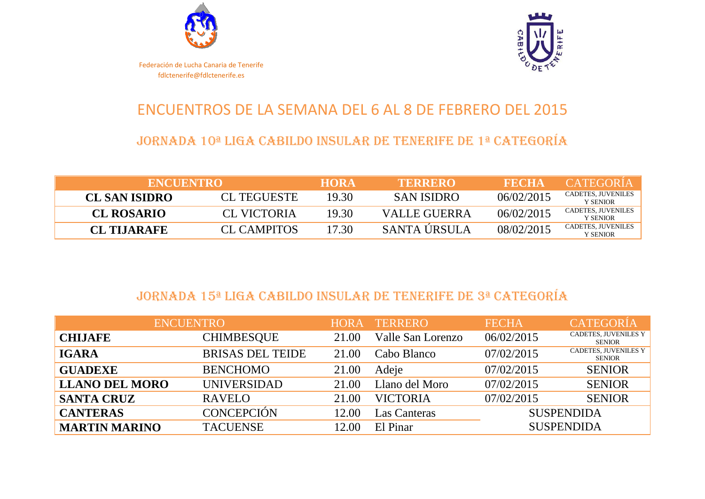



### ENCUENTROS DE LA SEMANA DEL 6 AL 8 DE FEBRERO DEL 2015

#### JORNADA 10ª LIGA CABILDO INSULAR DE TENERIFE DE 1ª CATEGORÍA

| <b>ENCUENTROL</b>    |                    | <b>HORA</b> | <b>TERRERO</b>    | <b>FECHA</b> | CATEGORIA                       |
|----------------------|--------------------|-------------|-------------------|--------------|---------------------------------|
| <b>CL SAN ISIDRO</b> | <b>CL TEGUESTE</b> | 19.30       | <b>SAN ISIDRO</b> | 06/02/2015   | CADETES, JUVENILES<br>Y SENIOR- |
| <b>CL ROSARIO</b>    | CL VICTORIA        | 19.30       | VALLE GUERRA      | 06/02/2015   | CADETES, JUVENILES<br>Y SENIOR- |
| <b>CL TIJARAFE</b>   | <b>CL CAMPITOS</b> | 17.30       | SANTA ÚRSULA      | 08/02/2015   | CADETES, JUVENILES<br>Y SENIOR- |

#### JORNADA 15ª LIGA CABILDO INSULAR DE TENERIFE DE 3ª CATEGORÍA

| <b>ENCUENTRO</b>      |                         | <b>HORA</b> | <b>TERRERO</b>    | <b>FECHA</b> | <b>CATEGORÍA</b>                             |
|-----------------------|-------------------------|-------------|-------------------|--------------|----------------------------------------------|
| <b>CHIJAFE</b>        | <b>CHIMBESQUE</b>       | 21.00       | Valle San Lorenzo | 06/02/2015   | CADETES, JUVENILES Y<br>SENIOR               |
| <b>IGARA</b>          | <b>BRISAS DEL TEIDE</b> | 21.00       | Cabo Blanco       | 07/02/2015   | <b>CADETES, JUVENILES Y</b><br><b>SENIOR</b> |
| <b>GUADEXE</b>        | <b>BENCHOMO</b>         | 21.00       | Adeje             | 07/02/2015   | <b>SENIOR</b>                                |
| <b>LLANO DEL MORO</b> | <b>UNIVERSIDAD</b>      | 21.00       | Llano del Moro    | 07/02/2015   | <b>SENIOR</b>                                |
| <b>SANTA CRUZ</b>     | <b>RAVELO</b>           | 21.00       | <b>VICTORIA</b>   | 07/02/2015   | <b>SENIOR</b>                                |
| <b>CANTERAS</b>       | <b>CONCEPCIÓN</b>       | 12.00       | Las Canteras      |              | <b>SUSPENDIDA</b>                            |
| <b>MARTIN MARINO</b>  | <b>TACUENSE</b>         | 12.00       | El Pinar          |              | <b>SUSPENDIDA</b>                            |